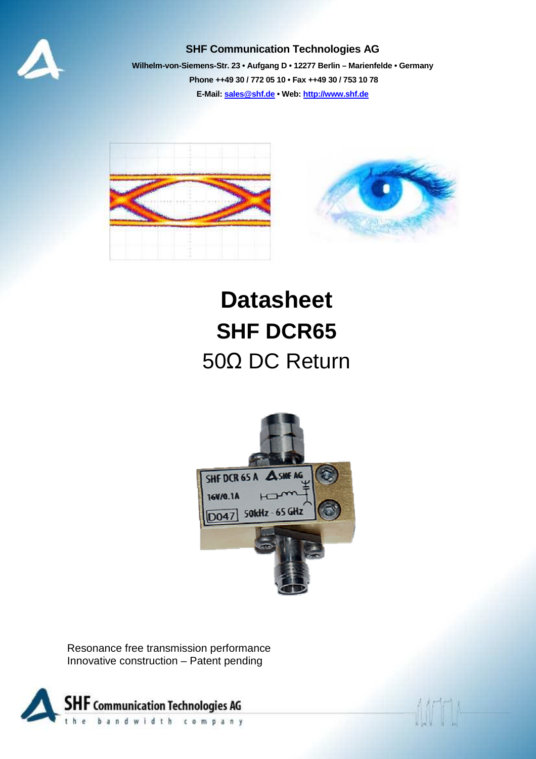

#### **SHF Communication Technologies AG**

**Wilhelm-von-Siemens-Str. 23 • Aufgang D • 12277 Berlin – Marienfelde • Germany Phone ++49 30 / 772 05 10 • Fax ++49 30 / 753 10 78 E-Mail: sales@shf.de • Web: http://www.shf.de**



# **Datasheet SHF DCR65**  50Ω DC Return



Resonance free transmission performance Innovative construction – Patent pending

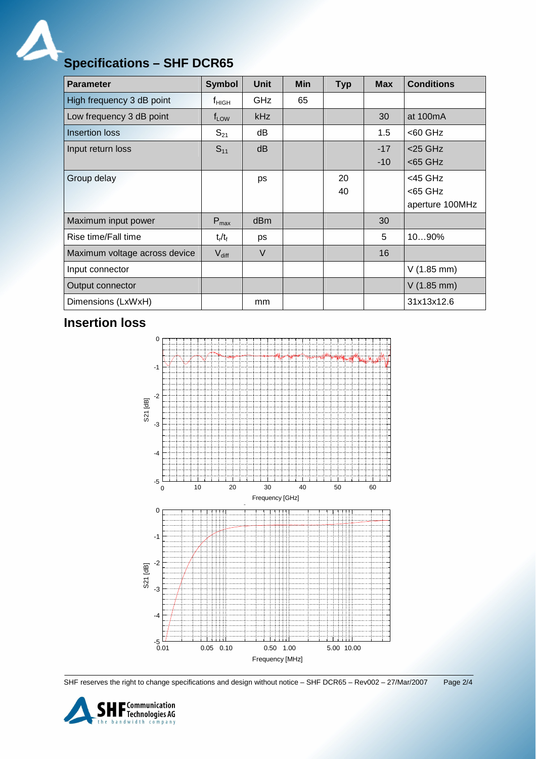$\boldsymbol{\mathcal{A}}$ 

# **Specifications – SHF DCR65**

| <b>Parameter</b>              | <b>Symbol</b>     | Unit            | <b>Min</b> | <b>Typ</b> | <b>Max</b> | <b>Conditions</b>    |
|-------------------------------|-------------------|-----------------|------------|------------|------------|----------------------|
| High frequency 3 dB point     | $f_{\sf HIGH}$    | GHz             | 65         |            |            |                      |
| Low frequency 3 dB point      | $f_{LOW}$         | kHz             |            |            | 30         | at $100mA$           |
| <b>Insertion loss</b>         | $S_{21}$          | dB              |            |            | 1.5        | $<$ 60 GHz           |
| Input return loss             | $S_{11}$          | dB              |            |            | $-17$      | $<$ 25 GHz           |
|                               |                   |                 |            |            | $-10$      | $<$ 65 GHz           |
| Group delay                   |                   | ps              |            | 20         |            | <45 GHz              |
|                               |                   |                 |            | 40         |            | <65 GHz              |
|                               |                   |                 |            |            |            | aperture 100MHz      |
| Maximum input power           | $P_{\text{max}}$  | d <sub>Bm</sub> |            |            | 30         |                      |
| Rise time/Fall time           | $t_r/t_f$         | ps              |            |            | 5          | 1090%                |
| Maximum voltage across device | $V_{\text{diff}}$ | $\vee$          |            |            | 16         |                      |
| Input connector               |                   |                 |            |            |            | $V(1.85 \text{ mm})$ |
| Output connector              |                   |                 |            |            |            | $V(1.85$ mm)         |
| Dimensions (LxWxH)            |                   | mm              |            |            |            | 31x13x12.6           |

### **Insertion loss**



SHF reserves the right to change specifications and design without notice – SHF DCR65 – Rev002 – 27/Mar/2007 Page 2/4

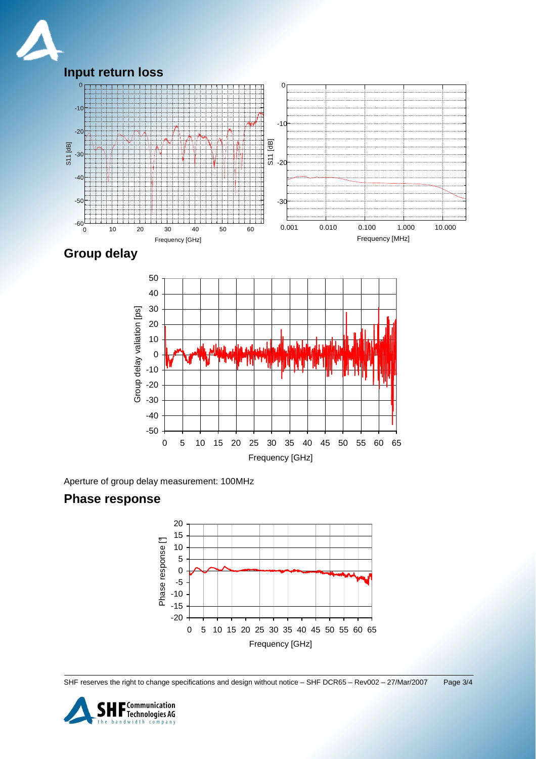





Aperture of group delay measurement: 100MHz

#### **Phase response**



SHF reserves the right to change specifications and design without notice – SHF DCR65 – Rev002 – 27/Mar/2007 Page 3/4